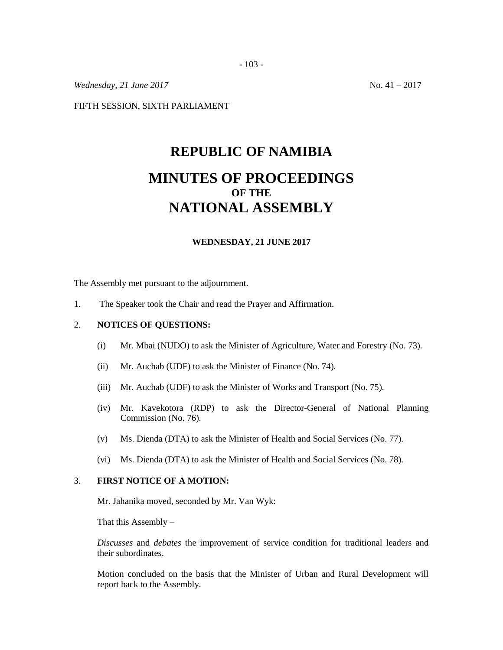*Wednesday, 21 June 2017* No. 41 – 2017

FIFTH SESSION, SIXTH PARLIAMENT

## **REPUBLIC OF NAMIBIA MINUTES OF PROCEEDINGS OF THE NATIONAL ASSEMBLY**

## **WEDNESDAY, 21 JUNE 2017**

The Assembly met pursuant to the adjournment.

1. The Speaker took the Chair and read the Prayer and Affirmation.

## 2. **NOTICES OF QUESTIONS:**

- (i) Mr. Mbai (NUDO) to ask the Minister of Agriculture, Water and Forestry (No. 73)*.*
- (ii) Mr. Auchab (UDF) to ask the Minister of Finance (No. 74)*.*
- (iii) Mr. Auchab (UDF) to ask the Minister of Works and Transport (No. 75)*.*
- (iv) Mr. Kavekotora (RDP) to ask the Director-General of National Planning Commission (No. 76)*.*
- (v) Ms. Dienda (DTA) to ask the Minister of Health and Social Services (No. 77)*.*
- (vi) Ms. Dienda (DTA) to ask the Minister of Health and Social Services (No. 78)*.*

## 3. **FIRST NOTICE OF A MOTION:**

Mr. Jahanika moved, seconded by Mr. Van Wyk:

That this Assembly  $-$ 

*Discusses* and *debates* the improvement of service condition for traditional leaders and their subordinates.

Motion concluded on the basis that the Minister of Urban and Rural Development will report back to the Assembly.